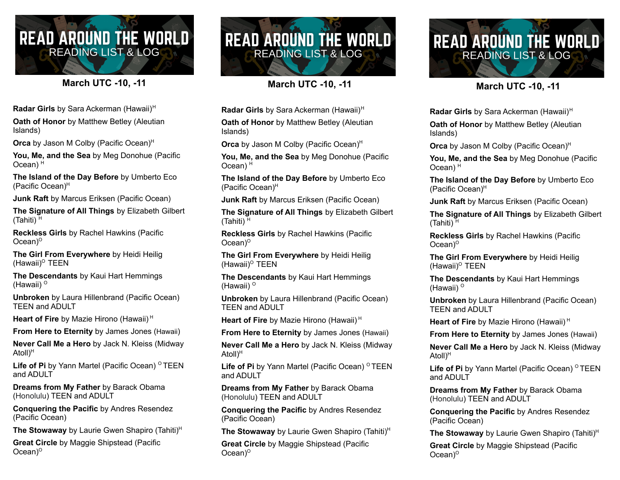## **READ AROUND THE WORLD READING LIST & LOG**

## **March UTC -10, -11**

**Radar Girls** by Sara Ackerman (Hawaii) H

**Oath of Honor** by Matthew Betley (Aleutian Islands)

**Orca** by Jason M Colby (Pacific Ocean)<sup>H</sup>

**You, Me, and the Sea** by Meg Donohue (Pacific Ocean) H

**The Island of the Day Before** by Umberto Eco (Pacific Ocean) H

**Junk Raft** by Marcus Eriksen (Pacific Ocean)

**The Signature of All Things** by Elizabeth Gilbert (Tahiti) H

**Reckless Girls** by Rachel Hawkins (Pacific Ocean) O

**The Girl From Everywhere** by Heidi Heilig (Hawaii)<sup>o</sup> TEEN

**The Descendants** by Kaui Hart Hemmings (Hawaii) <sup>o</sup>

**Unbroken** by Laura Hillenbrand (Pacific Ocean) TEEN and ADULT

**Heart of Fire** by Mazie Hirono (Hawaii) H

**From Here to Eternity** by James Jones (Hawaii)

**Never Call Me a Hero** by Jack N. Kleiss (Midway Atoll) H

**Life of Pi** by Yann Martel (Pacific Ocean) <sup>O</sup> TEEN and ADULT

**Dreams from My Father** by Barack Obama (Honolulu) TEEN and ADULT

**Conquering the Pacific** by Andres Resendez (Pacific Ocean)

**The Stowaway** by Laurie Gwen Shapiro (Tahiti) H

**Great Circle** by Maggie Shipstead (Pacific Ocean) O



**March UTC -10, -11**

**Radar Girls** by Sara Ackerman (Hawaii) H

**Oath of Honor** by Matthew Betley (Aleutian Islands)

**Orca** by Jason M Colby (Pacific Ocean)<sup>H</sup>

**You, Me, and the Sea** by Meg Donohue (Pacific Ocean) H

**The Island of the Day Before** by Umberto Eco (Pacific Ocean) H

**Junk Raft** by Marcus Eriksen (Pacific Ocean)

**The Signature of All Things** by Elizabeth Gilbert (Tahiti) H

**Reckless Girls** by Rachel Hawkins (Pacific Ocean) O

**The Girl From Everywhere** by Heidi Heilig (Hawaii)<sup>o</sup> TEEN

**The Descendants** by Kaui Hart Hemmings (Hawaii) <sup>o</sup>

**Unbroken** by Laura Hillenbrand (Pacific Ocean) TEEN and ADULT

**Heart of Fire** by Mazie Hirono (Hawaii) H

**From Here to Eternity** by James Jones (Hawaii)

**Never Call Me a Hero** by Jack N. Kleiss (Midway Atoll) H

**Life of Pi** by Yann Martel (Pacific Ocean) <sup>O</sup> TEEN and ADULT

**Dreams from My Father** by Barack Obama (Honolulu) TEEN and ADULT

**Conquering the Pacific** by Andres Resendez (Pacific Ocean)

**The Stowaway** by Laurie Gwen Shapiro (Tahiti) H

**Great Circle** by Maggie Shipstead (Pacific Ocean) O



**March UTC -10, -11**

**Radar Girls** by Sara Ackerman (Hawaii) H **Oath of Honor** by Matthew Betley (Aleutian Islands)

**Orca** by Jason M Colby (Pacific Ocean)<sup>H</sup>

**You, Me, and the Sea** by Meg Donohue (Pacific Ocean) H

**The Island of the Day Before** by Umberto Eco (Pacific Ocean) H

**Junk Raft** by Marcus Eriksen (Pacific Ocean)

**The Signature of All Things** by Elizabeth Gilbert (Tahiti) H

**Reckless Girls** by Rachel Hawkins (Pacific Ocean) O

**The Girl From Everywhere** by Heidi Heilig (Hawaii)<sup>o</sup> TEEN

**The Descendants** by Kaui Hart Hemmings (Hawaii) <sup>o</sup>

**Unbroken** by Laura Hillenbrand (Pacific Ocean) TEEN and ADULT

**Heart of Fire** by Mazie Hirono (Hawaii) H

**From Here to Eternity** by James Jones (Hawaii)

**Never Call Me a Hero** by Jack N. Kleiss (Midway Atoll) H

**Life of Pi** by Yann Martel (Pacific Ocean) <sup>O</sup> TEEN and ADULT

**Dreams from My Father** by Barack Obama (Honolulu) TEEN and ADULT

**Conquering the Pacific** by Andres Resendez (Pacific Ocean)

**The Stowaway** by Laurie Gwen Shapiro (Tahiti) H

**Great Circle** by Maggie Shipstead (Pacific Ocean) $^{\circ}$